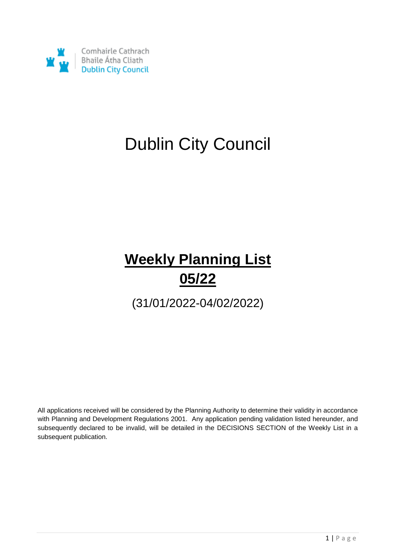

# Dublin City Council

## **Weekly Planning List 05/22**

(31/01/2022-04/02/2022)

All applications received will be considered by the Planning Authority to determine their validity in accordance with Planning and Development Regulations 2001. Any application pending validation listed hereunder, and subsequently declared to be invalid, will be detailed in the DECISIONS SECTION of the Weekly List in a subsequent publication.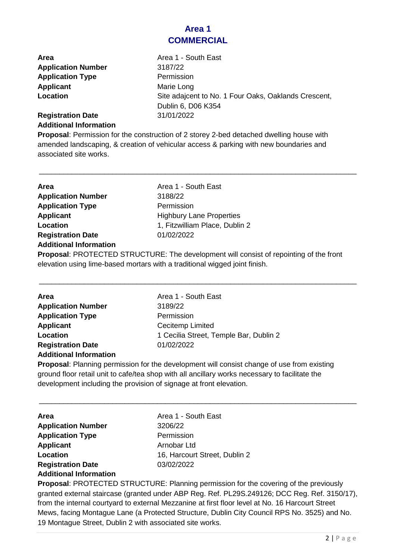#### **Area 1 COMMERCIAL**

**Area Area 1 - South East Application Number** 3187/22 **Application Type Permission Applicant** Marie Long

**Location** Site adajcent to No. 1 Four Oaks, Oaklands Crescent, Dublin 6, D06 K354 **Registration Date** 31/01/2022

### **Additional Information**

**Proposal**: Permission for the construction of 2 storey 2-bed detached dwelling house with amended landscaping, & creation of vehicular access & parking with new boundaries and associated site works.

\_\_\_\_\_\_\_\_\_\_\_\_\_\_\_\_\_\_\_\_\_\_\_\_\_\_\_\_\_\_\_\_\_\_\_\_\_\_\_\_\_\_\_\_\_\_\_\_\_\_\_\_\_\_\_\_\_\_\_\_\_\_\_\_\_\_\_\_\_\_\_\_\_\_\_\_\_\_

| Area                          | Area 1 - South East                                                 |
|-------------------------------|---------------------------------------------------------------------|
| <b>Application Number</b>     | 3188/22                                                             |
| <b>Application Type</b>       | Permission                                                          |
| <b>Applicant</b>              | <b>Highbury Lane Properties</b>                                     |
| Location                      | 1, Fitzwilliam Place, Dublin 2                                      |
| <b>Registration Date</b>      | 01/02/2022                                                          |
| <b>Additional Information</b> |                                                                     |
|                               | <b>Drangeal: DDOTECTED STDUCTUDE: The development will consider</b> |

**Proposal**: PROTECTED STRUCTURE: The development will consist of repointing of the front elevation using lime-based mortars with a traditional wigged joint finish.

\_\_\_\_\_\_\_\_\_\_\_\_\_\_\_\_\_\_\_\_\_\_\_\_\_\_\_\_\_\_\_\_\_\_\_\_\_\_\_\_\_\_\_\_\_\_\_\_\_\_\_\_\_\_\_\_\_\_\_\_\_\_\_\_\_\_\_\_\_\_\_\_\_\_\_\_\_\_

| Area                          | Area 1 - South East                    |
|-------------------------------|----------------------------------------|
| <b>Application Number</b>     | 3189/22                                |
| <b>Application Type</b>       | Permission                             |
| <b>Applicant</b>              | Cecitemp Limited                       |
| <b>Location</b>               | 1 Cecilia Street, Temple Bar, Dublin 2 |
| <b>Registration Date</b>      | 01/02/2022                             |
| <b>Additional Information</b> |                                        |
|                               |                                        |

**Proposal**: Planning permission for the development will consist change of use from existing ground floor retail unit to cafe/tea shop with all ancillary works necessary to facilitate the development including the provision of signage at front elevation.

\_\_\_\_\_\_\_\_\_\_\_\_\_\_\_\_\_\_\_\_\_\_\_\_\_\_\_\_\_\_\_\_\_\_\_\_\_\_\_\_\_\_\_\_\_\_\_\_\_\_\_\_\_\_\_\_\_\_\_\_\_\_\_\_\_\_\_\_\_\_\_\_\_\_\_\_\_\_

| <b>Area</b>                   | Area 1 - South East           |
|-------------------------------|-------------------------------|
| <b>Application Number</b>     | 3206/22                       |
| <b>Application Type</b>       | Permission                    |
| <b>Applicant</b>              | Arnobar Ltd                   |
| Location                      | 16, Harcourt Street, Dublin 2 |
| <b>Registration Date</b>      | 03/02/2022                    |
| <b>Additional Information</b> |                               |

**Proposal**: PROTECTED STRUCTURE: Planning permission for the covering of the previously granted external staircase (granted under ABP Reg. Ref. PL29S.249126; DCC Reg. Ref. 3150/17), from the internal courtyard to external Mezzanine at first floor level at No. 16 Harcourt Street Mews, facing Montague Lane (a Protected Structure, Dublin City Council RPS No. 3525) and No. 19 Montague Street, Dublin 2 with associated site works.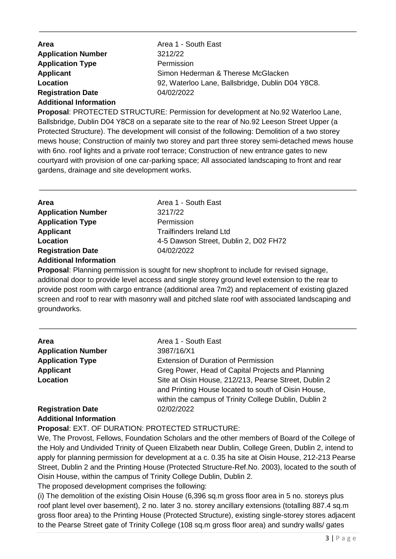| <b>Area</b>                   | Area 1 - South East                              |
|-------------------------------|--------------------------------------------------|
| <b>Application Number</b>     | 3212/22                                          |
| <b>Application Type</b>       | Permission                                       |
| <b>Applicant</b>              | Simon Hederman & Therese McGlacken               |
| Location                      | 92, Waterloo Lane, Ballsbridge, Dublin D04 Y8C8. |
| <b>Registration Date</b>      | 04/02/2022                                       |
| <b>Additional Information</b> |                                                  |

\_\_\_\_\_\_\_\_\_\_\_\_\_\_\_\_\_\_\_\_\_\_\_\_\_\_\_\_\_\_\_\_\_\_\_\_\_\_\_\_\_\_\_\_\_\_\_\_\_\_\_\_\_\_\_\_\_\_\_\_\_\_\_\_\_\_\_\_\_\_\_\_\_\_\_\_\_\_

**Proposal**: PROTECTED STRUCTURE: Permission for development at No.92 Waterloo Lane, Ballsbridge, Dublin D04 Y8C8 on a separate site to the rear of No.92 Leeson Street Upper (a Protected Structure). The development will consist of the following: Demolition of a two storey mews house; Construction of mainly two storey and part three storey semi-detached mews house with 6no. roof lights and a private roof terrace; Construction of new entrance gates to new courtyard with provision of one car-parking space; All associated landscaping to front and rear gardens, drainage and site development works.

\_\_\_\_\_\_\_\_\_\_\_\_\_\_\_\_\_\_\_\_\_\_\_\_\_\_\_\_\_\_\_\_\_\_\_\_\_\_\_\_\_\_\_\_\_\_\_\_\_\_\_\_\_\_\_\_\_\_\_\_\_\_\_\_\_\_\_\_\_\_\_\_\_\_\_\_\_\_

| Area                          | Area 1 - South East                   |
|-------------------------------|---------------------------------------|
| <b>Application Number</b>     | 3217/22                               |
| <b>Application Type</b>       | Permission                            |
| <b>Applicant</b>              | <b>Trailfinders Ireland Ltd</b>       |
| Location                      | 4-5 Dawson Street, Dublin 2, D02 FH72 |
| <b>Registration Date</b>      | 04/02/2022                            |
| <b>Additional Information</b> |                                       |

**Proposal**: Planning permission is sought for new shopfront to include for revised signage, additional door to provide level access and single storey ground level extension to the rear to provide post room with cargo entrance (additional area 7m2) and replacement of existing glazed screen and roof to rear with masonry wall and pitched slate roof with associated landscaping and groundworks.

\_\_\_\_\_\_\_\_\_\_\_\_\_\_\_\_\_\_\_\_\_\_\_\_\_\_\_\_\_\_\_\_\_\_\_\_\_\_\_\_\_\_\_\_\_\_\_\_\_\_\_\_\_\_\_\_\_\_\_\_\_\_\_\_\_\_\_\_\_\_\_\_\_\_\_\_\_\_

| <b>Area</b>                   | Area 1 - South East                                   |
|-------------------------------|-------------------------------------------------------|
| <b>Application Number</b>     | 3987/16/X1                                            |
| <b>Application Type</b>       | <b>Extension of Duration of Permission</b>            |
| <b>Applicant</b>              | Greg Power, Head of Capital Projects and Planning     |
| Location                      | Site at Oisin House, 212/213, Pearse Street, Dublin 2 |
|                               | and Printing House located to south of Oisin House,   |
|                               | within the campus of Trinity College Dublin, Dublin 2 |
| <b>Registration Date</b>      | 02/02/2022                                            |
| <b>Additional Information</b> |                                                       |

#### **Proposal**: EXT. OF DURATION: PROTECTED STRUCTURE:

We, The Provost, Fellows, Foundation Scholars and the other members of Board of the College of the Holy and Undivided Trinity of Queen Elizabeth near Dublin, College Green, Dublin 2, intend to apply for planning permission for development at a c. 0.35 ha site at Oisin House, 212-213 Pearse Street, Dublin 2 and the Printing House (Protected Structure-Ref.No. 2003), located to the south of Oisin House, within the campus of Trinity College Dublin, Dublin 2.

The proposed development comprises the following:

(i) The demolition of the existing Oisin House (6,396 sq.m gross floor area in 5 no. storeys plus roof plant level over basement), 2 no. later 3 no. storey ancillary extensions (totalling 887.4 sq.m gross floor area) to the Printing House (Protected Structure), existing single-storey stores adjacent to the Pearse Street gate of Trinity College (108 sq.m gross floor area) and sundry walls/ gates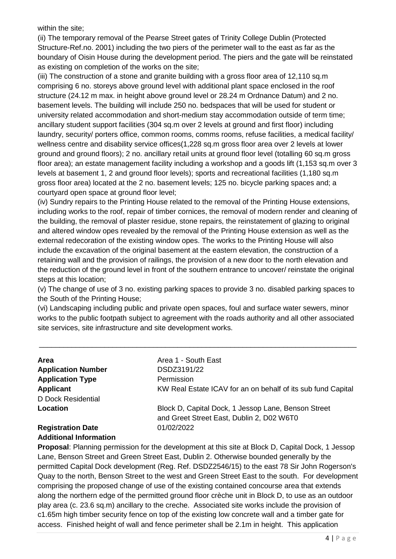within the site;

(ii) The temporary removal of the Pearse Street gates of Trinity College Dublin (Protected Structure-Ref.no. 2001) including the two piers of the perimeter wall to the east as far as the boundary of Oisin House during the development period. The piers and the gate will be reinstated as existing on completion of the works on the site;

(iii) The construction of a stone and granite building with a gross floor area of 12,110 sq.m comprising 6 no. storeys above ground level with additional plant space enclosed in the roof structure (24.12 m max. in height above ground level or 28.24 m Ordnance Datum) and 2 no. basement levels. The building will include 250 no. bedspaces that will be used for student or university related accommodation and short-medium stay accommodation outside of term time; ancillary student support facilities (304 sq.m over 2 levels at ground and first floor) including laundry, security/ porters office, common rooms, comms rooms, refuse facilities, a medical facility/ wellness centre and disability service offices(1,228 sq.m gross floor area over 2 levels at lower ground and ground floors); 2 no. ancillary retail units at ground floor level (totalling 60 sq.m gross floor area); an estate management facility including a workshop and a goods lift (1,153 sq.m over 3 levels at basement 1, 2 and ground floor levels); sports and recreational facilities (1,180 sq.m gross floor area) located at the 2 no. basement levels; 125 no. bicycle parking spaces and; a courtyard open space at ground floor level;

(iv) Sundry repairs to the Printing House related to the removal of the Printing House extensions, including works to the roof, repair of timber cornices, the removal of modern render and cleaning of the building, the removal of plaster residue, stone repairs, the reinstatement of glazing to original and altered window opes revealed by the removal of the Printing House extension as well as the external redecoration of the existing window opes. The works to the Printing House will also include the excavation of the original basement at the eastern elevation, the construction of a retaining wall and the provision of railings, the provision of a new door to the north elevation and the reduction of the ground level in front of the southern entrance to uncover/ reinstate the original steps at this location;

(v) The change of use of 3 no. existing parking spaces to provide 3 no. disabled parking spaces to the South of the Printing House;

(vi) Landscaping including public and private open spaces, foul and surface water sewers, minor works to the public footpath subject to agreement with the roads authority and all other associated site services, site infrastructure and site development works.

\_\_\_\_\_\_\_\_\_\_\_\_\_\_\_\_\_\_\_\_\_\_\_\_\_\_\_\_\_\_\_\_\_\_\_\_\_\_\_\_\_\_\_\_\_\_\_\_\_\_\_\_\_\_\_\_\_\_\_\_\_\_\_\_\_\_\_\_\_\_\_\_\_\_\_\_\_\_

| Area                      | Area 1 - South East                                          |
|---------------------------|--------------------------------------------------------------|
| <b>Application Number</b> | DSDZ3191/22                                                  |
| <b>Application Type</b>   | Permission                                                   |
| <b>Applicant</b>          | KW Real Estate ICAV for an on behalf of its sub fund Capital |
| D Dock Residential        |                                                              |
| Location                  | Block D, Capital Dock, 1 Jessop Lane, Benson Street          |
|                           | and Greet Street East, Dublin 2, D02 W6T0                    |
| <b>Registration Date</b>  | 01/02/2022                                                   |
|                           |                                                              |

## **Additional Information**

**Proposal**: Planning permission for the development at this site at Block D, Capital Dock, 1 Jessop Lane, Benson Street and Green Street East, Dublin 2. Otherwise bounded generally by the permitted Capital Dock development (Reg. Ref. DSDZ2546/15) to the east 78 Sir John Rogerson's Quay to the north, Benson Street to the west and Green Street East to the south. For development comprising the proposed change of use of the existing contained concourse area that extends along the northern edge of the permitted ground floor crèche unit in Block D, to use as an outdoor play area (c. 23.6 sq.m) ancillary to the creche. Associated site works include the provision of c1.65m high timber security fence on top of the existing low concrete wall and a timber gate for access. Finished height of wall and fence perimeter shall be 2.1m in height. This application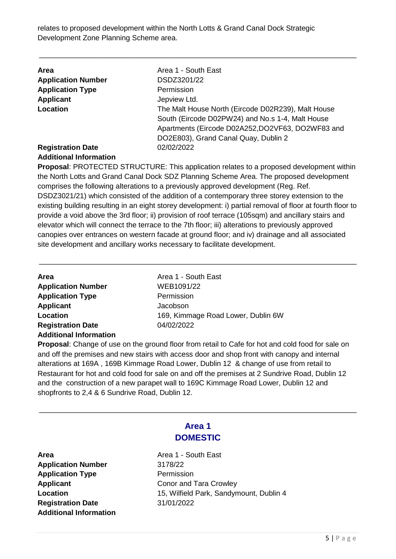relates to proposed development within the North Lotts & Grand Canal Dock Strategic Development Zone Planning Scheme area.

| <b>Area</b>                                               | Area 1 - South East                                                                                                                                                                                |
|-----------------------------------------------------------|----------------------------------------------------------------------------------------------------------------------------------------------------------------------------------------------------|
| <b>Application Number</b>                                 | DSDZ3201/22                                                                                                                                                                                        |
| <b>Application Type</b>                                   | Permission                                                                                                                                                                                         |
| <b>Applicant</b>                                          | Jepview Ltd.                                                                                                                                                                                       |
| Location                                                  | The Malt House North (Eircode D02R239), Malt House<br>South (Eircode D02PW24) and No.s 1-4, Malt House<br>Apartments (Eircode D02A252,DO2VF63, DO2WF83 and<br>DO2E803), Grand Canal Quay, Dublin 2 |
| <b>Registration Date</b><br><b>Additional Information</b> | 02/02/2022                                                                                                                                                                                         |

\_\_\_\_\_\_\_\_\_\_\_\_\_\_\_\_\_\_\_\_\_\_\_\_\_\_\_\_\_\_\_\_\_\_\_\_\_\_\_\_\_\_\_\_\_\_\_\_\_\_\_\_\_\_\_\_\_\_\_\_\_\_\_\_\_\_\_\_\_\_\_\_\_\_\_\_\_\_

**Proposal**: PROTECTED STRUCTURE: This application relates to a proposed development within the North Lotts and Grand Canal Dock SDZ Planning Scheme Area. The proposed development comprises the following alterations to a previously approved development (Reg. Ref. DSDZ3021/21) which consisted of the addition of a contemporary three storey extension to the existing building resulting in an eight storey development: i) partial removal of floor at fourth floor to provide a void above the 3rd floor; ii) provision of roof terrace (105sqm) and ancillary stairs and elevator which will connect the terrace to the 7th floor; iii) alterations to previously approved canopies over entrances on western facade at ground floor; and iv) drainage and all associated site development and ancillary works necessary to facilitate development.

\_\_\_\_\_\_\_\_\_\_\_\_\_\_\_\_\_\_\_\_\_\_\_\_\_\_\_\_\_\_\_\_\_\_\_\_\_\_\_\_\_\_\_\_\_\_\_\_\_\_\_\_\_\_\_\_\_\_\_\_\_\_\_\_\_\_\_\_\_\_\_\_\_\_\_\_\_\_

| Area                          | Area 1 - South East                |
|-------------------------------|------------------------------------|
| <b>Application Number</b>     | WEB1091/22                         |
| <b>Application Type</b>       | Permission                         |
| <b>Applicant</b>              | Jacobson                           |
| Location                      | 169, Kimmage Road Lower, Dublin 6W |
| <b>Registration Date</b>      | 04/02/2022                         |
| <b>Additional Information</b> |                                    |
|                               |                                    |

**Proposal**: Change of use on the ground floor from retail to Cafe for hot and cold food for sale on and off the premises and new stairs with access door and shop front with canopy and internal alterations at 169A , 169B Kimmage Road Lower, Dublin 12 & change of use from retail to Restaurant for hot and cold food for sale on and off the premises at 2 Sundrive Road, Dublin 12 and the construction of a new parapet wall to 169C Kimmage Road Lower, Dublin 12 and shopfronts to 2,4 & 6 Sundrive Road, Dublin 12.

| Area                          |
|-------------------------------|
| <b>Application Number</b>     |
| <b>Application Type</b>       |
| <b>Applicant</b>              |
| Location                      |
| <b>Registration Date</b>      |
| <b>Additional Information</b> |

### **Area 1 DOMESTIC**

\_\_\_\_\_\_\_\_\_\_\_\_\_\_\_\_\_\_\_\_\_\_\_\_\_\_\_\_\_\_\_\_\_\_\_\_\_\_\_\_\_\_\_\_\_\_\_\_\_\_\_\_\_\_\_\_\_\_\_\_\_\_\_\_\_\_\_\_\_\_\_\_\_\_\_\_\_\_

**Area** Area 1 - South East **Application Number** 3178/22 **Permission Conor and Tara Crowley Location** 15, Wilfield Park, Sandymount, Dublin 4 **Registration Date** 31/01/2022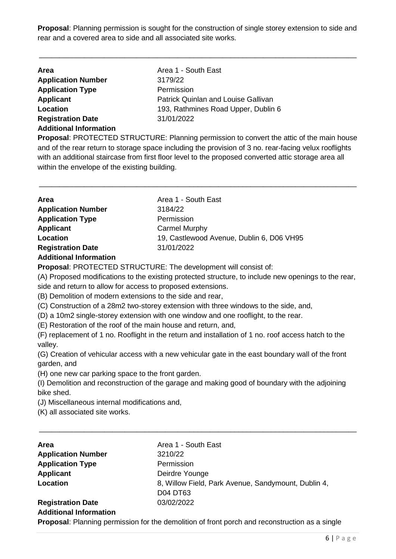**Proposal**: Planning permission is sought for the construction of single storey extension to side and rear and a covered area to side and all associated site works.

\_\_\_\_\_\_\_\_\_\_\_\_\_\_\_\_\_\_\_\_\_\_\_\_\_\_\_\_\_\_\_\_\_\_\_\_\_\_\_\_\_\_\_\_\_\_\_\_\_\_\_\_\_\_\_\_\_\_\_\_\_\_\_\_\_\_\_\_\_\_\_\_\_\_\_\_\_\_

| <b>Area</b>                   | Area 1 - South East                        |
|-------------------------------|--------------------------------------------|
| <b>Application Number</b>     | 3179/22                                    |
| <b>Application Type</b>       | Permission                                 |
| <b>Applicant</b>              | <b>Patrick Quinlan and Louise Gallivan</b> |
| Location                      | 193, Rathmines Road Upper, Dublin 6        |
| <b>Registration Date</b>      | 31/01/2022                                 |
| <b>Additional Information</b> |                                            |

**Proposal**: PROTECTED STRUCTURE: Planning permission to convert the attic of the main house and of the rear return to storage space including the provision of 3 no. rear-facing velux rooflights with an additional staircase from first floor level to the proposed converted attic storage area all within the envelope of the existing building.

\_\_\_\_\_\_\_\_\_\_\_\_\_\_\_\_\_\_\_\_\_\_\_\_\_\_\_\_\_\_\_\_\_\_\_\_\_\_\_\_\_\_\_\_\_\_\_\_\_\_\_\_\_\_\_\_\_\_\_\_\_\_\_\_\_\_\_\_\_\_\_\_\_\_\_\_\_\_

| <b>Area</b>               | Area 1 - South East                       |
|---------------------------|-------------------------------------------|
| <b>Application Number</b> | 3184/22                                   |
| <b>Application Type</b>   | Permission                                |
| <b>Applicant</b>          | <b>Carmel Murphy</b>                      |
| Location                  | 19, Castlewood Avenue, Dublin 6, D06 VH95 |
| <b>Registration Date</b>  | 31/01/2022                                |
|                           |                                           |

#### **Additional Information**

**Proposal**: PROTECTED STRUCTURE: The development will consist of:

(A) Proposed modifications to the existing protected structure, to include new openings to the rear, side and return to allow for access to proposed extensions.

(B) Demolition of modern extensions to the side and rear,

(C) Construction of a 28m2 two-storey extension with three windows to the side, and,

(D) a 10m2 single-storey extension with one window and one rooflight, to the rear.

(E) Restoration of the roof of the main house and return, and,

(F) replacement of 1 no. Rooflight in the return and installation of 1 no. roof access hatch to the valley.

(G) Creation of vehicular access with a new vehicular gate in the east boundary wall of the front garden, and

(H) one new car parking space to the front garden.

(I) Demolition and reconstruction of the garage and making good of boundary with the adjoining bike shed.

\_\_\_\_\_\_\_\_\_\_\_\_\_\_\_\_\_\_\_\_\_\_\_\_\_\_\_\_\_\_\_\_\_\_\_\_\_\_\_\_\_\_\_\_\_\_\_\_\_\_\_\_\_\_\_\_\_\_\_\_\_\_\_\_\_\_\_\_\_\_\_\_\_\_\_\_\_\_

(J) Miscellaneous internal modifications and,

(K) all associated site works.

| Area                          | Area 1 - South East                                 |
|-------------------------------|-----------------------------------------------------|
| <b>Application Number</b>     | 3210/22                                             |
| <b>Application Type</b>       | Permission                                          |
| <b>Applicant</b>              | Deirdre Younge                                      |
| Location                      | 8, Willow Field, Park Avenue, Sandymount, Dublin 4, |
|                               | <b>D04 DT63</b>                                     |
| <b>Registration Date</b>      | 03/02/2022                                          |
| <b>Additional Information</b> |                                                     |

**Proposal**: Planning permission for the demolition of front porch and reconstruction as a single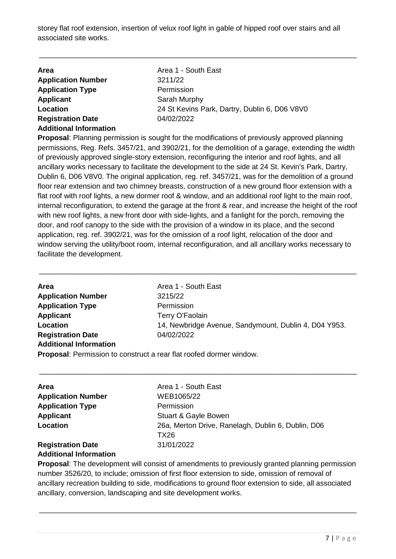storey flat roof extension, insertion of velux roof light in gable of hipped roof over stairs and all associated site works.

\_\_\_\_\_\_\_\_\_\_\_\_\_\_\_\_\_\_\_\_\_\_\_\_\_\_\_\_\_\_\_\_\_\_\_\_\_\_\_\_\_\_\_\_\_\_\_\_\_\_\_\_\_\_\_\_\_\_\_\_\_\_\_\_\_\_\_\_\_\_\_\_\_\_\_\_\_\_

| <b>Area</b>                   | Area 1 - South East                           |
|-------------------------------|-----------------------------------------------|
| <b>Application Number</b>     | 3211/22                                       |
| <b>Application Type</b>       | Permission                                    |
| <b>Applicant</b>              | Sarah Murphy                                  |
| Location                      | 24 St Kevins Park, Dartry, Dublin 6, D06 V8V0 |
| <b>Registration Date</b>      | 04/02/2022                                    |
| <b>Additional Information</b> |                                               |

**Proposal**: Planning permission is sought for the modifications of previously approved planning permissions, Reg. Refs. 3457/21, and 3902/21, for the demolition of a garage, extending the width of previously approved single-story extension, reconfiguring the interior and roof lights, and all ancillary works necessary to facilitate the development to the side at 24 St. Kevin's Park, Dartry, Dublin 6, D06 V8V0. The original application, reg. ref. 3457/21, was for the demolition of a ground floor rear extension and two chimney breasts, construction of a new ground floor extension with a flat roof with roof lights, a new dormer roof & window, and an additional roof light to the main roof, internal reconfiguration, to extend the garage at the front & rear, and increase the height of the roof with new roof lights, a new front door with side-lights, and a fanlight for the porch, removing the door, and roof canopy to the side with the provision of a window in its place, and the second application, reg. ref. 3902/21, was for the omission of a roof light, relocation of the door and window serving the utility/boot room, internal reconfiguration, and all ancillary works necessary to facilitate the development.

| <b>Area</b>                   | Area 1 - South East                                   |
|-------------------------------|-------------------------------------------------------|
| <b>Application Number</b>     | 3215/22                                               |
| <b>Application Type</b>       | Permission                                            |
| <b>Applicant</b>              | Terry O'Faolain                                       |
| Location                      | 14, Newbridge Avenue, Sandymount, Dublin 4, D04 Y953. |
| <b>Registration Date</b>      | 04/02/2022                                            |
| <b>Additional Information</b> |                                                       |

\_\_\_\_\_\_\_\_\_\_\_\_\_\_\_\_\_\_\_\_\_\_\_\_\_\_\_\_\_\_\_\_\_\_\_\_\_\_\_\_\_\_\_\_\_\_\_\_\_\_\_\_\_\_\_\_\_\_\_\_\_\_\_\_\_\_\_\_\_\_\_\_\_\_\_\_\_\_

**Proposal**: Permission to construct a rear flat roofed dormer window.

| <b>Area</b>               | Area 1 - South East                                        |
|---------------------------|------------------------------------------------------------|
| <b>Application Number</b> | WEB1065/22                                                 |
| <b>Application Type</b>   | Permission                                                 |
| <b>Applicant</b>          | <b>Stuart &amp; Gayle Bowen</b>                            |
| Location                  | 26a, Merton Drive, Ranelagh, Dublin 6, Dublin, D06<br>TX26 |
| <b>Registration Date</b>  | 31/01/2022                                                 |

\_\_\_\_\_\_\_\_\_\_\_\_\_\_\_\_\_\_\_\_\_\_\_\_\_\_\_\_\_\_\_\_\_\_\_\_\_\_\_\_\_\_\_\_\_\_\_\_\_\_\_\_\_\_\_\_\_\_\_\_\_\_\_\_\_\_\_\_\_\_\_\_\_\_\_\_\_\_

#### **Additional Information**

**Proposal**: The development will consist of amendments to previously granted planning permission number 3526/20, to include; omission of first floor extension to side, omission of removal of ancillary recreation building to side, modifications to ground floor extension to side, all associated ancillary, conversion, landscaping and site development works.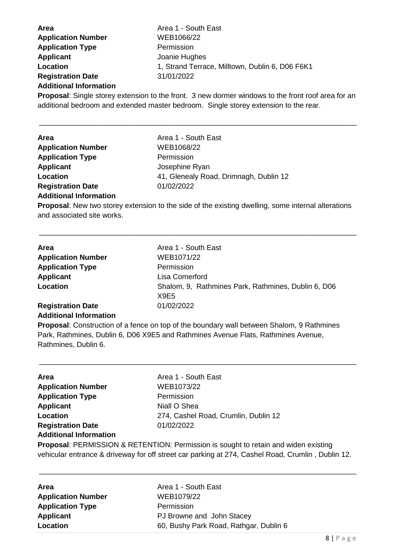**Area Area 1 - South East Application Number** WEB1066/22 **Application Type** Permission **Applicant** Joanie Hughes **Location** 1, Strand Terrace, Milltown, Dublin 6, D06 F6K1 **Registration Date** 31/01/2022 **Additional Information**

**Proposal**: Single storey extension to the front. 3 new dormer windows to the front roof area for an additional bedroom and extended master bedroom. Single storey extension to the rear.

\_\_\_\_\_\_\_\_\_\_\_\_\_\_\_\_\_\_\_\_\_\_\_\_\_\_\_\_\_\_\_\_\_\_\_\_\_\_\_\_\_\_\_\_\_\_\_\_\_\_\_\_\_\_\_\_\_\_\_\_\_\_\_\_\_\_\_\_\_\_\_\_\_\_\_\_\_\_

| <b>Area</b>               | Area 1 - South East                    |
|---------------------------|----------------------------------------|
| <b>Application Number</b> | WEB1068/22                             |
| <b>Application Type</b>   | Permission                             |
| <b>Applicant</b>          | Josephine Ryan                         |
| Location                  | 41, Glenealy Road, Drimnagh, Dublin 12 |
| <b>Registration Date</b>  | 01/02/2022                             |
|                           |                                        |

#### **Additional Information**

**Proposal**: New two storey extension to the side of the existing dwelling, some internal alterations and associated site works.

\_\_\_\_\_\_\_\_\_\_\_\_\_\_\_\_\_\_\_\_\_\_\_\_\_\_\_\_\_\_\_\_\_\_\_\_\_\_\_\_\_\_\_\_\_\_\_\_\_\_\_\_\_\_\_\_\_\_\_\_\_\_\_\_\_\_\_\_\_\_\_\_\_\_\_\_\_\_

| <b>Area</b>               | Area 1 - South East                                 |
|---------------------------|-----------------------------------------------------|
| <b>Application Number</b> | WEB1071/22                                          |
| <b>Application Type</b>   | Permission                                          |
| Applicant                 | Lisa Comerford                                      |
| Location                  | Shalom, 9, Rathmines Park, Rathmines, Dublin 6, D06 |
|                           | X9E5                                                |
| <b>Registration Date</b>  | 01/02/2022                                          |

### **Additional Information**

**Proposal**: Construction of a fence on top of the boundary wall between Shalom, 9 Rathmines Park, Rathmines, Dublin 6, D06 X9E5 and Rathmines Avenue Flats, Rathmines Avenue, Rathmines, Dublin 6.

\_\_\_\_\_\_\_\_\_\_\_\_\_\_\_\_\_\_\_\_\_\_\_\_\_\_\_\_\_\_\_\_\_\_\_\_\_\_\_\_\_\_\_\_\_\_\_\_\_\_\_\_\_\_\_\_\_\_\_\_\_\_\_\_\_\_\_\_\_\_\_\_\_\_\_\_\_\_

| Area                          | Area 1 - South East                                                                                                                                                                                                                                                                                                                                                                                                                                                                        |
|-------------------------------|--------------------------------------------------------------------------------------------------------------------------------------------------------------------------------------------------------------------------------------------------------------------------------------------------------------------------------------------------------------------------------------------------------------------------------------------------------------------------------------------|
| <b>Application Number</b>     | WEB1073/22                                                                                                                                                                                                                                                                                                                                                                                                                                                                                 |
| <b>Application Type</b>       | Permission                                                                                                                                                                                                                                                                                                                                                                                                                                                                                 |
| <b>Applicant</b>              | Niall O Shea                                                                                                                                                                                                                                                                                                                                                                                                                                                                               |
| Location                      | 274, Cashel Road, Crumlin, Dublin 12                                                                                                                                                                                                                                                                                                                                                                                                                                                       |
| <b>Registration Date</b>      | 01/02/2022                                                                                                                                                                                                                                                                                                                                                                                                                                                                                 |
| <b>Additional Information</b> |                                                                                                                                                                                                                                                                                                                                                                                                                                                                                            |
|                               | $\blacksquare$ $\blacksquare$ $\blacksquare$ $\blacksquare$ $\blacksquare$ $\blacksquare$ $\blacksquare$ $\blacksquare$ $\blacksquare$ $\blacksquare$ $\blacksquare$ $\blacksquare$ $\blacksquare$ $\blacksquare$ $\blacksquare$ $\blacksquare$ $\blacksquare$ $\blacksquare$ $\blacksquare$ $\blacksquare$ $\blacksquare$ $\blacksquare$ $\blacksquare$ $\blacksquare$ $\blacksquare$ $\blacksquare$ $\blacksquare$ $\blacksquare$ $\blacksquare$ $\blacksquare$ $\blacksquare$ $\blacks$ |

**Proposal**: PERMISSION & RETENTION: Permission is sought to retain and widen existing vehicular entrance & driveway for off street car parking at 274, Cashel Road, Crumlin , Dublin 12.

| Area                      | Area 1 - South East                    |
|---------------------------|----------------------------------------|
| <b>Application Number</b> | WEB1079/22                             |
| <b>Application Type</b>   | Permission                             |
| <b>Applicant</b>          | PJ Browne and John Stacey              |
| Location                  | 60, Bushy Park Road, Rathgar, Dublin 6 |
|                           |                                        |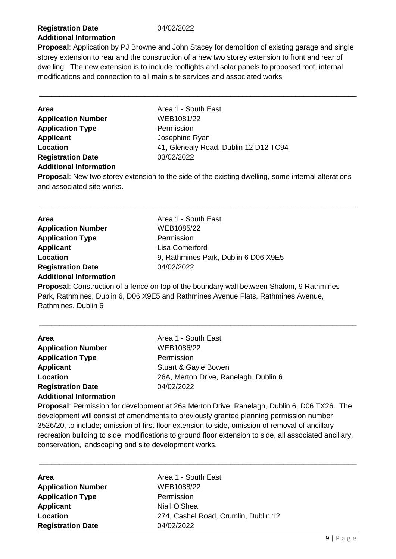#### **Registration Date** 04/02/2022 **Additional Information**

**Proposal**: Application by PJ Browne and John Stacey for demolition of existing garage and single storey extension to rear and the construction of a new two storey extension to front and rear of dwelling. The new extension is to include rooflights and solar panels to proposed roof, internal modifications and connection to all main site services and associated works

\_\_\_\_\_\_\_\_\_\_\_\_\_\_\_\_\_\_\_\_\_\_\_\_\_\_\_\_\_\_\_\_\_\_\_\_\_\_\_\_\_\_\_\_\_\_\_\_\_\_\_\_\_\_\_\_\_\_\_\_\_\_\_\_\_\_\_\_\_\_\_\_\_\_\_\_\_\_

**Area Area 1 - South East Application Number** WEB1081/22 **Application Type** Permission **Applicant** Josephine Ryan **Registration Date** 03/02/2022 **Additional Information**

Location **12 D12 TC94** 41, Glenealy Road, Dublin 12 D12 TC94

**Proposal**: New two storey extension to the side of the existing dwelling, some internal alterations and associated site works.

\_\_\_\_\_\_\_\_\_\_\_\_\_\_\_\_\_\_\_\_\_\_\_\_\_\_\_\_\_\_\_\_\_\_\_\_\_\_\_\_\_\_\_\_\_\_\_\_\_\_\_\_\_\_\_\_\_\_\_\_\_\_\_\_\_\_\_\_\_\_\_\_\_\_\_\_\_\_

| Area                          | Area 1 - South East                                                                    |
|-------------------------------|----------------------------------------------------------------------------------------|
| <b>Application Number</b>     | WEB1085/22                                                                             |
| <b>Application Type</b>       | Permission                                                                             |
| <b>Applicant</b>              | Lisa Comerford                                                                         |
| <b>Location</b>               | 9, Rathmines Park, Dublin 6 D06 X9E5                                                   |
| <b>Registration Date</b>      | 04/02/2022                                                                             |
| <b>Additional Information</b> |                                                                                        |
|                               | Depressed: Construction of a forest on top of the hour deminical between Chalange O.D. |

**Proposal**: Construction of a fence on top of the boundary wall between Shalom, 9 Rathmines Park, Rathmines, Dublin 6, D06 X9E5 and Rathmines Avenue Flats, Rathmines Avenue, Rathmines, Dublin 6

\_\_\_\_\_\_\_\_\_\_\_\_\_\_\_\_\_\_\_\_\_\_\_\_\_\_\_\_\_\_\_\_\_\_\_\_\_\_\_\_\_\_\_\_\_\_\_\_\_\_\_\_\_\_\_\_\_\_\_\_\_\_\_\_\_\_\_\_\_\_\_\_\_\_\_\_\_\_

| <b>Area</b>                   | Area 1 - South East                   |
|-------------------------------|---------------------------------------|
| <b>Application Number</b>     | WEB1086/22                            |
| <b>Application Type</b>       | Permission                            |
| <b>Applicant</b>              | Stuart & Gayle Bowen                  |
| Location                      | 26A, Merton Drive, Ranelagh, Dublin 6 |
| <b>Registration Date</b>      | 04/02/2022                            |
| <b>Additional Information</b> |                                       |

**Proposal**: Permission for development at 26a Merton Drive, Ranelagh, Dublin 6, D06 TX26. The development will consist of amendments to previously granted planning permission number 3526/20, to include; omission of first floor extension to side, omission of removal of ancillary recreation building to side, modifications to ground floor extension to side, all associated ancillary, conservation, landscaping and site development works.

| Area                      | Area 1 - South East                  |
|---------------------------|--------------------------------------|
| <b>Application Number</b> | WEB1088/22                           |
| <b>Application Type</b>   | Permission                           |
| Applicant                 | Niall O'Shea                         |
| Location                  | 274, Cashel Road, Crumlin, Dublin 12 |
| <b>Registration Date</b>  | 04/02/2022                           |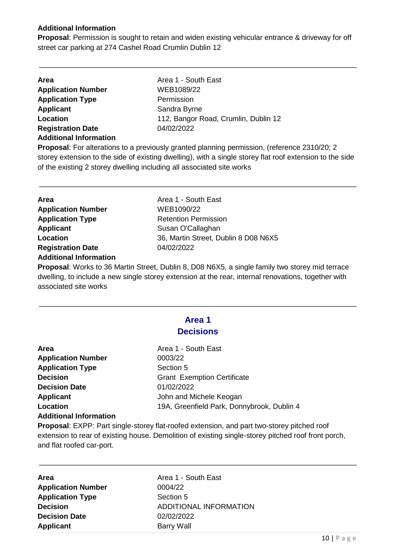#### **Additional Information**

**Proposal**: Permission is sought to retain and widen existing vehicular entrance & driveway for off street car parking at 274 Cashel Road Crumlin Dublin 12

\_\_\_\_\_\_\_\_\_\_\_\_\_\_\_\_\_\_\_\_\_\_\_\_\_\_\_\_\_\_\_\_\_\_\_\_\_\_\_\_\_\_\_\_\_\_\_\_\_\_\_\_\_\_\_\_\_\_\_\_\_\_\_\_\_\_\_\_\_\_\_\_\_\_\_\_\_\_

| Area                          | Area 1 - South East                  |
|-------------------------------|--------------------------------------|
| <b>Application Number</b>     | WEB1089/22                           |
| <b>Application Type</b>       | Permission                           |
| <b>Applicant</b>              | Sandra Byrne                         |
| Location                      | 112, Bangor Road, Crumlin, Dublin 12 |
| <b>Registration Date</b>      | 04/02/2022                           |
| <b>Additional Information</b> |                                      |

**Proposal**: For alterations to a previously granted planning permission, (reference 2310/20; 2 storey extension to the side of existing dwelling), with a single storey flat roof extension to the side of the existing 2 storey dwelling including all associated site works

\_\_\_\_\_\_\_\_\_\_\_\_\_\_\_\_\_\_\_\_\_\_\_\_\_\_\_\_\_\_\_\_\_\_\_\_\_\_\_\_\_\_\_\_\_\_\_\_\_\_\_\_\_\_\_\_\_\_\_\_\_\_\_\_\_\_\_\_\_\_\_\_\_\_\_\_\_\_

| <b>Area</b>                   | Area 1 - South East                  |
|-------------------------------|--------------------------------------|
| <b>Application Number</b>     | WEB1090/22                           |
| <b>Application Type</b>       | <b>Retention Permission</b>          |
| <b>Applicant</b>              | Susan O'Callaghan                    |
| Location                      | 36, Martin Street, Dublin 8 D08 N6X5 |
| <b>Registration Date</b>      | 04/02/2022                           |
| <b>Additional Information</b> |                                      |

**Proposal**: Works to 36 Martin Street, Dublin 8, D08 N6X5, a single family two storey mid terrace dwelling, to include a new single storey extension at the rear, internal renovations, together with associated site works

\_\_\_\_\_\_\_\_\_\_\_\_\_\_\_\_\_\_\_\_\_\_\_\_\_\_\_\_\_\_\_\_\_\_\_\_\_\_\_\_\_\_\_\_\_\_\_\_\_\_\_\_\_\_\_\_\_\_\_\_\_\_\_\_\_\_\_\_\_\_\_\_\_\_\_\_\_\_

**Area 1** 

| <b>Decisions</b>              |                                                                                                  |
|-------------------------------|--------------------------------------------------------------------------------------------------|
| Area                          | Area 1 - South East                                                                              |
| <b>Application Number</b>     | 0003/22                                                                                          |
| <b>Application Type</b>       | Section 5                                                                                        |
| <b>Decision</b>               | <b>Grant Exemption Certificate</b>                                                               |
| <b>Decision Date</b>          | 01/02/2022                                                                                       |
| <b>Applicant</b>              | John and Michele Keogan                                                                          |
| Location                      | 19A, Greenfield Park, Donnybrook, Dublin 4                                                       |
| <b>Additional Information</b> |                                                                                                  |
|                               | <b>Pronosal:</b> EXPP: Part single-storey flat-roofed extension, and part two-storey pitched roo |

**Proposal**: EXPP: Part single-storey flat-roofed extension, and part two-storey pitched roof extension to rear of existing house. Demolition of existing single-storey pitched roof front porch, and flat roofed car-port.

\_\_\_\_\_\_\_\_\_\_\_\_\_\_\_\_\_\_\_\_\_\_\_\_\_\_\_\_\_\_\_\_\_\_\_\_\_\_\_\_\_\_\_\_\_\_\_\_\_\_\_\_\_\_\_\_\_\_\_\_\_\_\_\_\_\_\_\_\_\_\_\_\_\_\_\_\_\_

| Area                      |  |
|---------------------------|--|
| <b>Application Number</b> |  |
| <b>Application Type</b>   |  |
| <b>Decision</b>           |  |
| <b>Decision Date</b>      |  |
| <b>Applicant</b>          |  |

**Area** Area 1 - South East **Application Number** 0004/22 **Section 5 ADDITIONAL INFORMATION Decision Date** 02/02/2022 **Barry Wall**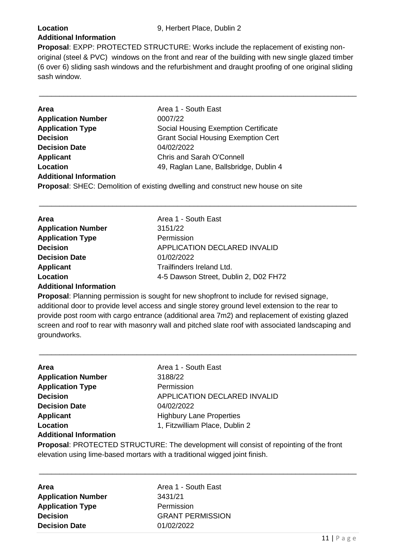#### **Additional Information**

**Proposal**: EXPP: PROTECTED STRUCTURE: Works include the replacement of existing nonoriginal (steel & PVC) windows on the front and rear of the building with new single glazed timber (6 over 6) sliding sash windows and the refurbishment and draught proofing of one original sliding sash window.

\_\_\_\_\_\_\_\_\_\_\_\_\_\_\_\_\_\_\_\_\_\_\_\_\_\_\_\_\_\_\_\_\_\_\_\_\_\_\_\_\_\_\_\_\_\_\_\_\_\_\_\_\_\_\_\_\_\_\_\_\_\_\_\_\_\_\_\_\_\_\_\_\_\_\_\_\_\_

\_\_\_\_\_\_\_\_\_\_\_\_\_\_\_\_\_\_\_\_\_\_\_\_\_\_\_\_\_\_\_\_\_\_\_\_\_\_\_\_\_\_\_\_\_\_\_\_\_\_\_\_\_\_\_\_\_\_\_\_\_\_\_\_\_\_\_\_\_\_\_\_\_\_\_\_\_\_

| <b>Area</b>                   | Area 1 - South East                                                             |
|-------------------------------|---------------------------------------------------------------------------------|
| <b>Application Number</b>     | 0007/22                                                                         |
| <b>Application Type</b>       | Social Housing Exemption Certificate                                            |
| <b>Decision</b>               | <b>Grant Social Housing Exemption Cert</b>                                      |
| <b>Decision Date</b>          | 04/02/2022                                                                      |
| <b>Applicant</b>              | Chris and Sarah O'Connell                                                       |
| Location                      | 49, Raglan Lane, Ballsbridge, Dublin 4                                          |
| <b>Additional Information</b> |                                                                                 |
|                               | Proposal: SHEC: Demolition of existing dwelling and construct new house on site |
|                               |                                                                                 |

| <b>Area</b>               | Area 1 - South East                   |
|---------------------------|---------------------------------------|
| <b>Application Number</b> | 3151/22                               |
| <b>Application Type</b>   | Permission                            |
| <b>Decision</b>           | APPLICATION DECLARED INVALID          |
| <b>Decision Date</b>      | 01/02/2022                            |
| <b>Applicant</b>          | Trailfinders Ireland Ltd.             |
| Location                  | 4-5 Dawson Street, Dublin 2, D02 FH72 |
|                           |                                       |

#### **Additional Information**

**Proposal**: Planning permission is sought for new shopfront to include for revised signage, additional door to provide level access and single storey ground level extension to the rear to provide post room with cargo entrance (additional area 7m2) and replacement of existing glazed screen and roof to rear with masonry wall and pitched slate roof with associated landscaping and groundworks.

\_\_\_\_\_\_\_\_\_\_\_\_\_\_\_\_\_\_\_\_\_\_\_\_\_\_\_\_\_\_\_\_\_\_\_\_\_\_\_\_\_\_\_\_\_\_\_\_\_\_\_\_\_\_\_\_\_\_\_\_\_\_\_\_\_\_\_\_\_\_\_\_\_\_\_\_\_\_

| Area                                                                       | Area 1 - South East                                                                    |
|----------------------------------------------------------------------------|----------------------------------------------------------------------------------------|
| <b>Application Number</b>                                                  | 3188/22                                                                                |
| <b>Application Type</b>                                                    | Permission                                                                             |
| <b>Decision</b>                                                            | <b>APPLICATION DECLARED INVALID</b>                                                    |
| <b>Decision Date</b>                                                       | 04/02/2022                                                                             |
| <b>Applicant</b>                                                           | <b>Highbury Lane Properties</b>                                                        |
| Location                                                                   | 1, Fitzwilliam Place, Dublin 2                                                         |
| <b>Additional Information</b>                                              |                                                                                        |
|                                                                            | Proposal: PROTECTED STRUCTURE: The development will consist of repointing of the front |
| elevation using lime-based mortars with a traditional wigged joint finish. |                                                                                        |

**Area Area 1 - South East Application Number** 3431/21 **Application Type** Permission **Decision GRANT PERMISSION Decision Date** 01/02/2022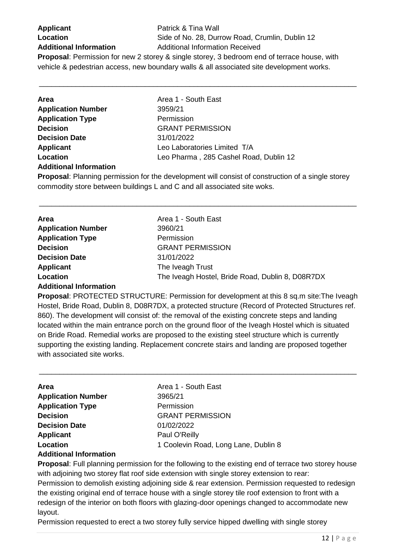| <b>Applicant</b>                 |
|----------------------------------|
| Location                         |
| <b>Additional Information</b>    |
| <b>Drangoal</b> : Derminsion for |

**Patrick & Tina Wall** Side of No. 28, Durrow Road, Crumlin, Dublin 12 **Additional Information** Additional Information Received

**Proposal**: Permission for new 2 storey & single storey, 3 bedroom end of terrace house, with vehicle & pedestrian access, new boundary walls & all associated site development works.

\_\_\_\_\_\_\_\_\_\_\_\_\_\_\_\_\_\_\_\_\_\_\_\_\_\_\_\_\_\_\_\_\_\_\_\_\_\_\_\_\_\_\_\_\_\_\_\_\_\_\_\_\_\_\_\_\_\_\_\_\_\_\_\_\_\_\_\_\_\_\_\_\_\_\_\_\_\_

| Area                                  | Area 1 - South East                    |
|---------------------------------------|----------------------------------------|
| <b>Application Number</b>             | 3959/21                                |
| <b>Application Type</b>               | Permission                             |
| <b>Decision</b>                       | <b>GRANT PERMISSION</b>                |
| <b>Decision Date</b>                  | 31/01/2022                             |
| <b>Applicant</b>                      | Leo Laboratories Limited T/A           |
| Location                              | Leo Pharma, 285 Cashel Road, Dublin 12 |
| A della la concluita fa concentiu con |                                        |

#### **Additional Information**

**Proposal**: Planning permission for the development will consist of construction of a single storey commodity store between buildings L and C and all associated site woks.

\_\_\_\_\_\_\_\_\_\_\_\_\_\_\_\_\_\_\_\_\_\_\_\_\_\_\_\_\_\_\_\_\_\_\_\_\_\_\_\_\_\_\_\_\_\_\_\_\_\_\_\_\_\_\_\_\_\_\_\_\_\_\_\_\_\_\_\_\_\_\_\_\_\_\_\_\_\_

| <b>Area</b>                             | Area 1 - South East                              |
|-----------------------------------------|--------------------------------------------------|
| <b>Application Number</b>               | 3960/21                                          |
| <b>Application Type</b>                 | Permission                                       |
| <b>Decision</b>                         | <b>GRANT PERMISSION</b>                          |
| <b>Decision Date</b>                    | 31/01/2022                                       |
| <b>Applicant</b>                        | The Iveagh Trust                                 |
| Location                                | The Iveagh Hostel, Bride Road, Dublin 8, D08R7DX |
| . A statistic count to form on address. |                                                  |

#### **Additional Information**

**Proposal**: PROTECTED STRUCTURE: Permission for development at this 8 sq.m site:The Iveagh Hostel, Bride Road, Dublin 8, D08R7DX, a protected structure (Record of Protected Structures ref. 860). The development will consist of: the removal of the existing concrete steps and landing located within the main entrance porch on the ground floor of the Iveagh Hostel which is situated on Bride Road. Remedial works are proposed to the existing steel structure which is currently supporting the existing landing. Replacement concrete stairs and landing are proposed together with associated site works.

\_\_\_\_\_\_\_\_\_\_\_\_\_\_\_\_\_\_\_\_\_\_\_\_\_\_\_\_\_\_\_\_\_\_\_\_\_\_\_\_\_\_\_\_\_\_\_\_\_\_\_\_\_\_\_\_\_\_\_\_\_\_\_\_\_\_\_\_\_\_\_\_\_\_\_\_\_\_

| <b>Area</b>               | Area 1 - South East                  |
|---------------------------|--------------------------------------|
| <b>Application Number</b> | 3965/21                              |
| <b>Application Type</b>   | Permission                           |
| <b>Decision</b>           | <b>GRANT PERMISSION</b>              |
| <b>Decision Date</b>      | 01/02/2022                           |
| <b>Applicant</b>          | Paul O'Reilly                        |
| Location                  | 1 Coolevin Road, Long Lane, Dublin 8 |
|                           |                                      |

#### **Additional Information**

**Proposal**: Full planning permission for the following to the existing end of terrace two storey house with adjoining two storey flat roof side extension with single storey extension to rear:

Permission to demolish existing adjoining side & rear extension. Permission requested to redesign the existing original end of terrace house with a single storey tile roof extension to front with a redesign of the interior on both floors with glazing-door openings changed to accommodate new layout.

Permission requested to erect a two storey fully service hipped dwelling with single storey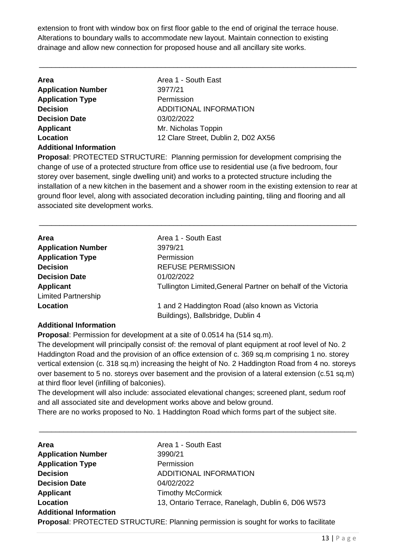extension to front with window box on first floor gable to the end of original the terrace house. Alterations to boundary walls to accommodate new layout. Maintain connection to existing drainage and allow new connection for proposed house and all ancillary site works.

\_\_\_\_\_\_\_\_\_\_\_\_\_\_\_\_\_\_\_\_\_\_\_\_\_\_\_\_\_\_\_\_\_\_\_\_\_\_\_\_\_\_\_\_\_\_\_\_\_\_\_\_\_\_\_\_\_\_\_\_\_\_\_\_\_\_\_\_\_\_\_\_\_\_\_\_\_\_

| <b>Area</b>                   | Area 1 - South East                 |
|-------------------------------|-------------------------------------|
| <b>Application Number</b>     | 3977/21                             |
| <b>Application Type</b>       | Permission                          |
| <b>Decision</b>               | ADDITIONAL INFORMATION              |
| <b>Decision Date</b>          | 03/02/2022                          |
| <b>Applicant</b>              | Mr. Nicholas Toppin                 |
| Location                      | 12 Clare Street, Dublin 2, D02 AX56 |
| <b>Additional Information</b> |                                     |

**Proposal**: PROTECTED STRUCTURE: Planning permission for development comprising the change of use of a protected structure from office use to residential use (a five bedroom, four storey over basement, single dwelling unit) and works to a protected structure including the installation of a new kitchen in the basement and a shower room in the existing extension to rear at ground floor level, along with associated decoration including painting, tiling and flooring and all associated site development works.

\_\_\_\_\_\_\_\_\_\_\_\_\_\_\_\_\_\_\_\_\_\_\_\_\_\_\_\_\_\_\_\_\_\_\_\_\_\_\_\_\_\_\_\_\_\_\_\_\_\_\_\_\_\_\_\_\_\_\_\_\_\_\_\_\_\_\_\_\_\_\_\_\_\_\_\_\_\_

| Area                       | Area 1 - South East                                           |
|----------------------------|---------------------------------------------------------------|
| <b>Application Number</b>  | 3979/21                                                       |
| <b>Application Type</b>    | Permission                                                    |
| <b>Decision</b>            | <b>REFUSE PERMISSION</b>                                      |
| <b>Decision Date</b>       | 01/02/2022                                                    |
| <b>Applicant</b>           | Tullington Limited, General Partner on behalf of the Victoria |
| <b>Limited Partnership</b> |                                                               |
| Location                   | 1 and 2 Haddington Road (also known as Victoria               |
|                            | Buildings), Ballsbridge, Dublin 4                             |

#### **Additional Information**

**Proposal**: Permission for development at a site of 0.0514 ha (514 sq.m).

The development will principally consist of: the removal of plant equipment at roof level of No. 2 Haddington Road and the provision of an office extension of c. 369 sq.m comprising 1 no. storey vertical extension (c. 318 sq.m) increasing the height of No. 2 Haddington Road from 4 no. storeys over basement to 5 no. storeys over basement and the provision of a lateral extension (c.51 sq.m) at third floor level (infilling of balconies).

The development will also include: associated elevational changes; screened plant, sedum roof and all associated site and development works above and below ground.

\_\_\_\_\_\_\_\_\_\_\_\_\_\_\_\_\_\_\_\_\_\_\_\_\_\_\_\_\_\_\_\_\_\_\_\_\_\_\_\_\_\_\_\_\_\_\_\_\_\_\_\_\_\_\_\_\_\_\_\_\_\_\_\_\_\_\_\_\_\_\_\_\_\_\_\_\_\_

There are no works proposed to No. 1 Haddington Road which forms part of the subject site.

| Area                          | Area 1 - South East                                                                  |
|-------------------------------|--------------------------------------------------------------------------------------|
| <b>Application Number</b>     | 3990/21                                                                              |
| <b>Application Type</b>       | Permission                                                                           |
| <b>Decision</b>               | ADDITIONAL INFORMATION                                                               |
| <b>Decision Date</b>          | 04/02/2022                                                                           |
| <b>Applicant</b>              | <b>Timothy McCormick</b>                                                             |
| Location                      | 13, Ontario Terrace, Ranelagh, Dublin 6, D06 W573                                    |
| <b>Additional Information</b> |                                                                                      |
|                               | Proposal: PROTECTED STRUCTURE: Planning permission is sought for works to facilitate |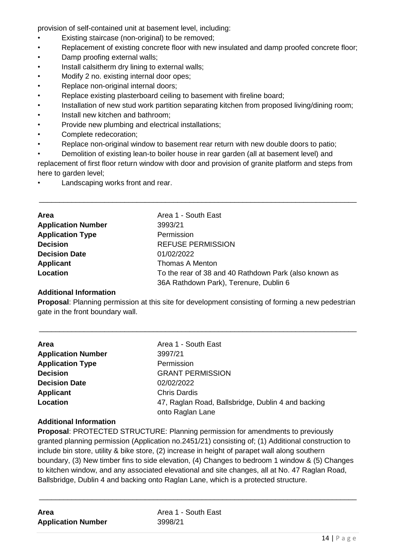provision of self-contained unit at basement level, including:

- Existing staircase (non-original) to be removed;
- Replacement of existing concrete floor with new insulated and damp proofed concrete floor;
- Damp proofing external walls;
- Install calsitherm dry lining to external walls;
- Modify 2 no. existing internal door opes;
- Replace non-original internal doors;
- Replace existing plasterboard ceiling to basement with fireline board;
- Installation of new stud work partition separating kitchen from proposed living/dining room;
- Install new kitchen and bathroom;
- Provide new plumbing and electrical installations;
- Complete redecoration;
- Replace non-original window to basement rear return with new double doors to patio;
- Demolition of existing lean-to boiler house in rear garden (all at basement level) and

replacement of first floor return window with door and provision of granite platform and steps from here to garden level:

\_\_\_\_\_\_\_\_\_\_\_\_\_\_\_\_\_\_\_\_\_\_\_\_\_\_\_\_\_\_\_\_\_\_\_\_\_\_\_\_\_\_\_\_\_\_\_\_\_\_\_\_\_\_\_\_\_\_\_\_\_\_\_\_\_\_\_\_\_\_\_\_\_\_\_\_\_\_

Landscaping works front and rear.

| Area                      | Area 1 - South East                                   |
|---------------------------|-------------------------------------------------------|
| <b>Application Number</b> | 3993/21                                               |
| <b>Application Type</b>   | Permission                                            |
| <b>Decision</b>           | <b>REFUSE PERMISSION</b>                              |
| <b>Decision Date</b>      | 01/02/2022                                            |
| Applicant                 | <b>Thomas A Menton</b>                                |
| Location                  | To the rear of 38 and 40 Rathdown Park (also known as |
|                           | 36A Rathdown Park), Terenure, Dublin 6                |

#### **Additional Information**

**Proposal**: Planning permission at this site for development consisting of forming a new pedestrian gate in the front boundary wall.

\_\_\_\_\_\_\_\_\_\_\_\_\_\_\_\_\_\_\_\_\_\_\_\_\_\_\_\_\_\_\_\_\_\_\_\_\_\_\_\_\_\_\_\_\_\_\_\_\_\_\_\_\_\_\_\_\_\_\_\_\_\_\_\_\_\_\_\_\_\_\_\_\_\_\_\_\_\_

| <b>Area</b>               | Area 1 - South East                                                    |
|---------------------------|------------------------------------------------------------------------|
| <b>Application Number</b> | 3997/21                                                                |
| <b>Application Type</b>   | Permission                                                             |
| <b>Decision</b>           | <b>GRANT PERMISSION</b>                                                |
| <b>Decision Date</b>      | 02/02/2022                                                             |
| <b>Applicant</b>          | <b>Chris Dardis</b>                                                    |
| Location                  | 47, Raglan Road, Ballsbridge, Dublin 4 and backing<br>onto Raglan Lane |

#### **Additional Information**

**Proposal**: PROTECTED STRUCTURE: Planning permission for amendments to previously granted planning permission (Application no.2451/21) consisting of; (1) Additional construction to include bin store, utility & bike store, (2) increase in height of parapet wall along southern boundary, (3) New timber fins to side elevation, (4) Changes to bedroom 1 window & (5) Changes to kitchen window, and any associated elevational and site changes, all at No. 47 Raglan Road, Ballsbridge, Dublin 4 and backing onto Raglan Lane, which is a protected structure.

| Area                      |  |
|---------------------------|--|
| <b>Application Number</b> |  |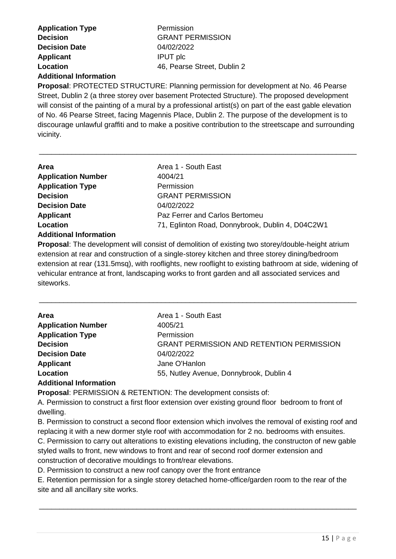| <b>Application Type</b>       | Permission                  |
|-------------------------------|-----------------------------|
| <b>Decision</b>               | <b>GRANT PERMISSION</b>     |
| <b>Decision Date</b>          | 04/02/2022                  |
| <b>Applicant</b>              | <b>IPUT</b> plc             |
| Location                      | 46, Pearse Street, Dublin 2 |
| <b>Additional Information</b> |                             |

**Proposal**: PROTECTED STRUCTURE: Planning permission for development at No. 46 Pearse Street, Dublin 2 (a three storey over basement Protected Structure). The proposed development will consist of the painting of a mural by a professional artist(s) on part of the east gable elevation of No. 46 Pearse Street, facing Magennis Place, Dublin 2. The purpose of the development is to discourage unlawful graffiti and to make a positive contribution to the streetscape and surrounding vicinity.

\_\_\_\_\_\_\_\_\_\_\_\_\_\_\_\_\_\_\_\_\_\_\_\_\_\_\_\_\_\_\_\_\_\_\_\_\_\_\_\_\_\_\_\_\_\_\_\_\_\_\_\_\_\_\_\_\_\_\_\_\_\_\_\_\_\_\_\_\_\_\_\_\_\_\_\_\_\_

| Area                          | Area 1 - South East                              |
|-------------------------------|--------------------------------------------------|
| <b>Application Number</b>     | 4004/21                                          |
| <b>Application Type</b>       | Permission                                       |
| <b>Decision</b>               | <b>GRANT PERMISSION</b>                          |
| <b>Decision Date</b>          | 04/02/2022                                       |
| <b>Applicant</b>              | Paz Ferrer and Carlos Bertomeu                   |
| Location                      | 71, Eglinton Road, Donnybrook, Dublin 4, D04C2W1 |
| <b>Additional Information</b> |                                                  |

**Proposal**: The development will consist of demolition of existing two storey/double-height atrium extension at rear and construction of a single-storey kitchen and three storey dining/bedroom extension at rear (131.5msq), with rooflights, new rooflight to existing bathroom at side, widening of vehicular entrance at front, landscaping works to front garden and all associated services and siteworks.

\_\_\_\_\_\_\_\_\_\_\_\_\_\_\_\_\_\_\_\_\_\_\_\_\_\_\_\_\_\_\_\_\_\_\_\_\_\_\_\_\_\_\_\_\_\_\_\_\_\_\_\_\_\_\_\_\_\_\_\_\_\_\_\_\_\_\_\_\_\_\_\_\_\_\_\_\_\_

| Area                          | Area 1 - South East                              |
|-------------------------------|--------------------------------------------------|
| <b>Application Number</b>     | 4005/21                                          |
| <b>Application Type</b>       | Permission                                       |
| <b>Decision</b>               | <b>GRANT PERMISSION AND RETENTION PERMISSION</b> |
| <b>Decision Date</b>          | 04/02/2022                                       |
| <b>Applicant</b>              | Jane O'Hanlon                                    |
| Location                      | 55, Nutley Avenue, Donnybrook, Dublin 4          |
| <b>Additional Information</b> |                                                  |

**Proposal**: PERMISSION & RETENTION: The development consists of:

A. Permission to construct a first floor extension over existing ground floor bedroom to front of dwelling.

B. Permission to construct a second floor extension which involves the removal of existing roof and replacing it with a new dormer style roof with accommodation for 2 no. bedrooms with ensuites.

C. Permission to carry out alterations to existing elevations including, the constructon of new gable styled walls to front, new windows to front and rear of second roof dormer extension and construction of decorative mouldings to front/rear elevations.

D. Permission to construct a new roof canopy over the front entrance

E. Retention permission for a single storey detached home-office/garden room to the rear of the site and all ancillary site works.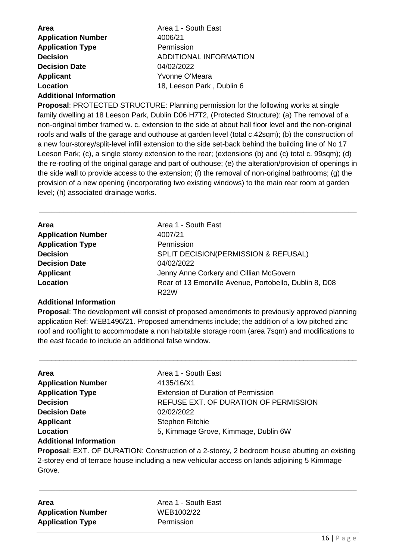| <b>Area</b>               | Area 1 - South East       |
|---------------------------|---------------------------|
| <b>Application Number</b> | 4006/21                   |
| <b>Application Type</b>   | Permission                |
| <b>Decision</b>           | ADDITIONAL INFORMATION    |
| <b>Decision Date</b>      | 04/02/2022                |
| <b>Applicant</b>          | Yvonne O'Meara            |
| Location                  | 18, Leeson Park, Dublin 6 |
|                           |                           |

#### **Additional Information**

**Proposal**: PROTECTED STRUCTURE: Planning permission for the following works at single family dwelling at 18 Leeson Park, Dublin D06 H7T2, (Protected Structure): (a) The removal of a non-original timber framed w. c. extension to the side at about hall floor level and the non-original roofs and walls of the garage and outhouse at garden level (total c.42sqm); (b) the construction of a new four-storey/split-level infill extension to the side set-back behind the building line of No 17 Leeson Park; (c), a single storey extension to the rear; (extensions (b) and (c) total c. 99sqm); (d) the re-roofing of the original garage and part of outhouse; (e) the alteration/provision of openings in the side wall to provide access to the extension; (f) the removal of non-original bathrooms; (g) the provision of a new opening (incorporating two existing windows) to the main rear room at garden level; (h) associated drainage works.

\_\_\_\_\_\_\_\_\_\_\_\_\_\_\_\_\_\_\_\_\_\_\_\_\_\_\_\_\_\_\_\_\_\_\_\_\_\_\_\_\_\_\_\_\_\_\_\_\_\_\_\_\_\_\_\_\_\_\_\_\_\_\_\_\_\_\_\_\_\_\_\_\_\_\_\_\_\_

| <b>Area</b>               | Area 1 - South East                                    |
|---------------------------|--------------------------------------------------------|
| <b>Application Number</b> | 4007/21                                                |
| <b>Application Type</b>   | Permission                                             |
| <b>Decision</b>           | SPLIT DECISION(PERMISSION & REFUSAL)                   |
| <b>Decision Date</b>      | 04/02/2022                                             |
| Applicant                 | Jenny Anne Corkery and Cillian McGovern                |
| Location                  | Rear of 13 Emorville Avenue, Portobello, Dublin 8, D08 |
|                           | R22W                                                   |

#### **Additional Information**

**Proposal**: The development will consist of proposed amendments to previously approved planning application Ref: WEB1496/21. Proposed amendments include; the addition of a low pitched zinc roof and rooflight to accommodate a non habitable storage room (area 7sqm) and modifications to the east facade to include an additional false window.

\_\_\_\_\_\_\_\_\_\_\_\_\_\_\_\_\_\_\_\_\_\_\_\_\_\_\_\_\_\_\_\_\_\_\_\_\_\_\_\_\_\_\_\_\_\_\_\_\_\_\_\_\_\_\_\_\_\_\_\_\_\_\_\_\_\_\_\_\_\_\_\_\_\_\_\_\_\_

| <b>Area</b>                   | Area 1 - South East                        |
|-------------------------------|--------------------------------------------|
| <b>Application Number</b>     | 4135/16/X1                                 |
| <b>Application Type</b>       | <b>Extension of Duration of Permission</b> |
| <b>Decision</b>               | REFUSE EXT. OF DURATION OF PERMISSION      |
| <b>Decision Date</b>          | 02/02/2022                                 |
| <b>Applicant</b>              | <b>Stephen Ritchie</b>                     |
| Location                      | 5, Kimmage Grove, Kimmage, Dublin 6W       |
| <b>Additional Information</b> |                                            |

#### **Proposal**: EXT. OF DURATION: Construction of a 2-storey, 2 bedroom house abutting an existing 2-storey end of terrace house including a new vehicular access on lands adjoining 5 Kimmage Grove.

\_\_\_\_\_\_\_\_\_\_\_\_\_\_\_\_\_\_\_\_\_\_\_\_\_\_\_\_\_\_\_\_\_\_\_\_\_\_\_\_\_\_\_\_\_\_\_\_\_\_\_\_\_\_\_\_\_\_\_\_\_\_\_\_\_\_\_\_\_\_\_\_\_\_\_\_\_\_

| <b>Area</b>               |  |
|---------------------------|--|
| <b>Application Number</b> |  |
| <b>Application Type</b>   |  |

**Area** Area 1 - South East **Application Number** WEB1002/22 **Permission**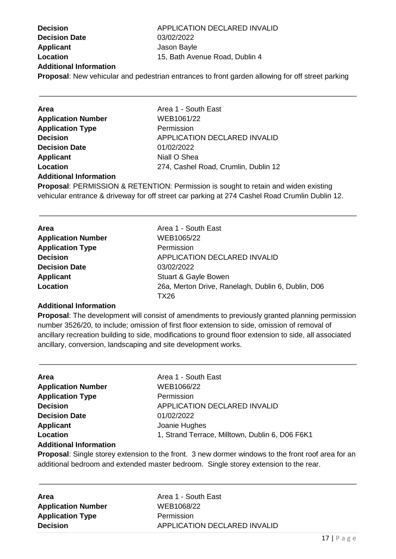| <b>Decision</b>               | APPLICATION DECLARED INVALID                                                                            |
|-------------------------------|---------------------------------------------------------------------------------------------------------|
| <b>Decision Date</b>          | 03/02/2022                                                                                              |
| <b>Applicant</b>              | Jason Bayle                                                                                             |
| Location                      | 15, Bath Avenue Road, Dublin 4                                                                          |
| <b>Additional Information</b> |                                                                                                         |
|                               | <b>Proposal:</b> New vehicular and pedestrian entrances to front garden allowing for off street parking |
|                               |                                                                                                         |

\_\_\_\_\_\_\_\_\_\_\_\_\_\_\_\_\_\_\_\_\_\_\_\_\_\_\_\_\_\_\_\_\_\_\_\_\_\_\_\_\_\_\_\_\_\_\_\_\_\_\_\_\_\_\_\_\_\_\_\_\_\_\_\_\_\_\_\_\_\_\_\_\_\_\_\_\_\_

| Area                          | Area 1 - South East                                                                                                                                                                                                                                                                                                                                                                                                        |
|-------------------------------|----------------------------------------------------------------------------------------------------------------------------------------------------------------------------------------------------------------------------------------------------------------------------------------------------------------------------------------------------------------------------------------------------------------------------|
| <b>Application Number</b>     | WEB1061/22                                                                                                                                                                                                                                                                                                                                                                                                                 |
| <b>Application Type</b>       | Permission                                                                                                                                                                                                                                                                                                                                                                                                                 |
| <b>Decision</b>               | <b>APPLICATION DECLARED INVALID</b>                                                                                                                                                                                                                                                                                                                                                                                        |
| <b>Decision Date</b>          | 01/02/2022                                                                                                                                                                                                                                                                                                                                                                                                                 |
| <b>Applicant</b>              | Niall O Shea                                                                                                                                                                                                                                                                                                                                                                                                               |
| Location                      | 274, Cashel Road, Crumlin, Dublin 12                                                                                                                                                                                                                                                                                                                                                                                       |
| <b>Additional Information</b> |                                                                                                                                                                                                                                                                                                                                                                                                                            |
|                               | $\mathbf{D}_{\text{model}}$ , $\mathbf{D} = \mathbf{D} = \mathbf{D} = \mathbf{D} = \mathbf{D} = \mathbf{D} = \mathbf{D} = \mathbf{D} = \mathbf{D} = \mathbf{D} = \mathbf{D} = \mathbf{D} = \mathbf{D} = \mathbf{D} = \mathbf{D} = \mathbf{D} = \mathbf{D} = \mathbf{D} = \mathbf{D} = \mathbf{D} = \mathbf{D} = \mathbf{D} = \mathbf{D} = \mathbf{D} = \mathbf{D} = \mathbf{D} = \mathbf{D} = \mathbf{D} = \mathbf{D} = \$ |

**Proposal**: PERMISSION & RETENTION: Permission is sought to retain and widen existing vehicular entrance & driveway for off street car parking at 274 Cashel Road Crumlin Dublin 12.

\_\_\_\_\_\_\_\_\_\_\_\_\_\_\_\_\_\_\_\_\_\_\_\_\_\_\_\_\_\_\_\_\_\_\_\_\_\_\_\_\_\_\_\_\_\_\_\_\_\_\_\_\_\_\_\_\_\_\_\_\_\_\_\_\_\_\_\_\_\_\_\_\_\_\_\_\_\_

| Area                      | Area 1 - South East                                |
|---------------------------|----------------------------------------------------|
| <b>Application Number</b> | WEB1065/22                                         |
| <b>Application Type</b>   | Permission                                         |
| <b>Decision</b>           | APPLICATION DECLARED INVALID                       |
| <b>Decision Date</b>      | 03/02/2022                                         |
| <b>Applicant</b>          | Stuart & Gayle Bowen                               |
| Location                  | 26a, Merton Drive, Ranelagh, Dublin 6, Dublin, D06 |
|                           | TX26                                               |

#### **Additional Information**

**Proposal**: The development will consist of amendments to previously granted planning permission number 3526/20, to include; omission of first floor extension to side, omission of removal of ancillary recreation building to side, modifications to ground floor extension to side, all associated ancillary, conversion, landscaping and site development works.

\_\_\_\_\_\_\_\_\_\_\_\_\_\_\_\_\_\_\_\_\_\_\_\_\_\_\_\_\_\_\_\_\_\_\_\_\_\_\_\_\_\_\_\_\_\_\_\_\_\_\_\_\_\_\_\_\_\_\_\_\_\_\_\_\_\_\_\_\_\_\_\_\_\_\_\_\_\_

| <b>Area</b>                   | Area 1 - South East                             |
|-------------------------------|-------------------------------------------------|
| <b>Application Number</b>     | WEB1066/22                                      |
| <b>Application Type</b>       | Permission                                      |
| <b>Decision</b>               | <b>APPLICATION DECLARED INVALID</b>             |
| <b>Decision Date</b>          | 01/02/2022                                      |
| <b>Applicant</b>              | Joanie Hughes                                   |
| Location                      | 1, Strand Terrace, Milltown, Dublin 6, D06 F6K1 |
| <b>Additional Information</b> |                                                 |

**Proposal**: Single storey extension to the front. 3 new dormer windows to the front roof area for an additional bedroom and extended master bedroom. Single storey extension to the rear.

\_\_\_\_\_\_\_\_\_\_\_\_\_\_\_\_\_\_\_\_\_\_\_\_\_\_\_\_\_\_\_\_\_\_\_\_\_\_\_\_\_\_\_\_\_\_\_\_\_\_\_\_\_\_\_\_\_\_\_\_\_\_\_\_\_\_\_\_\_\_\_\_\_\_\_\_\_\_

**Area Area 1 - South East Application Number** WEB1068/22 **Application Type** Permission

**Decision** APPLICATION DECLARED INVALID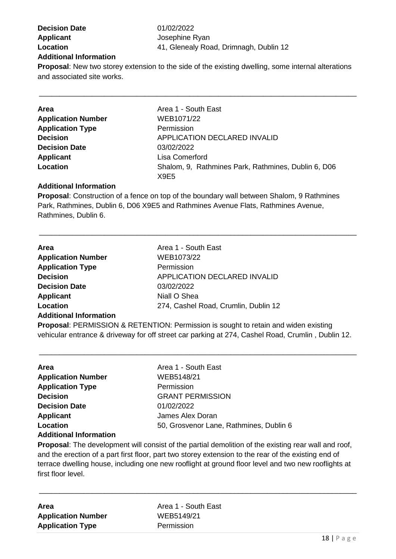**Decision Date** 01/02/2022 **Applicant Applicant Josephine Ryan Additional Information**

**Location** 41, Glenealy Road, Drimnagh, Dublin 12

**Proposal**: New two storey extension to the side of the existing dwelling, some internal alterations and associated site works.

\_\_\_\_\_\_\_\_\_\_\_\_\_\_\_\_\_\_\_\_\_\_\_\_\_\_\_\_\_\_\_\_\_\_\_\_\_\_\_\_\_\_\_\_\_\_\_\_\_\_\_\_\_\_\_\_\_\_\_\_\_\_\_\_\_\_\_\_\_\_\_\_\_\_\_\_\_\_

| Area                      | Area 1 - South East                                 |
|---------------------------|-----------------------------------------------------|
| <b>Application Number</b> | WEB1071/22                                          |
| <b>Application Type</b>   | Permission                                          |
| <b>Decision</b>           | APPLICATION DECLARED INVALID                        |
| <b>Decision Date</b>      | 03/02/2022                                          |
| <b>Applicant</b>          | Lisa Comerford                                      |
| Location                  | Shalom, 9, Rathmines Park, Rathmines, Dublin 6, D06 |
|                           | X9E5                                                |

#### **Additional Information**

**Proposal**: Construction of a fence on top of the boundary wall between Shalom, 9 Rathmines Park, Rathmines, Dublin 6, D06 X9E5 and Rathmines Avenue Flats, Rathmines Avenue, Rathmines, Dublin 6.

\_\_\_\_\_\_\_\_\_\_\_\_\_\_\_\_\_\_\_\_\_\_\_\_\_\_\_\_\_\_\_\_\_\_\_\_\_\_\_\_\_\_\_\_\_\_\_\_\_\_\_\_\_\_\_\_\_\_\_\_\_\_\_\_\_\_\_\_\_\_\_\_\_\_\_\_\_\_

| <b>Area</b>                   | Area 1 - South East                  |
|-------------------------------|--------------------------------------|
| <b>Application Number</b>     | WEB1073/22                           |
| <b>Application Type</b>       | Permission                           |
| <b>Decision</b>               | <b>APPLICATION DECLARED INVALID</b>  |
| <b>Decision Date</b>          | 03/02/2022                           |
| <b>Applicant</b>              | Niall O Shea                         |
| Location                      | 274, Cashel Road, Crumlin, Dublin 12 |
| <b>Additional Information</b> |                                      |

**Proposal**: PERMISSION & RETENTION: Permission is sought to retain and widen existing vehicular entrance & driveway for off street car parking at 274, Cashel Road, Crumlin , Dublin 12.

\_\_\_\_\_\_\_\_\_\_\_\_\_\_\_\_\_\_\_\_\_\_\_\_\_\_\_\_\_\_\_\_\_\_\_\_\_\_\_\_\_\_\_\_\_\_\_\_\_\_\_\_\_\_\_\_\_\_\_\_\_\_\_\_\_\_\_\_\_\_\_\_\_\_\_\_\_\_

| <b>Area</b>                   | Area 1 - South East                     |
|-------------------------------|-----------------------------------------|
|                               |                                         |
| <b>Application Number</b>     | WEB5148/21                              |
| <b>Application Type</b>       | Permission                              |
| <b>Decision</b>               | <b>GRANT PERMISSION</b>                 |
| <b>Decision Date</b>          | 01/02/2022                              |
| <b>Applicant</b>              | James Alex Doran                        |
| Location                      | 50, Grosvenor Lane, Rathmines, Dublin 6 |
| <b>Additional Information</b> |                                         |

**Proposal**: The development will consist of the partial demolition of the existing rear wall and roof, and the erection of a part first floor, part two storey extension to the rear of the existing end of terrace dwelling house, including one new rooflight at ground floor level and two new rooflights at first floor level.

\_\_\_\_\_\_\_\_\_\_\_\_\_\_\_\_\_\_\_\_\_\_\_\_\_\_\_\_\_\_\_\_\_\_\_\_\_\_\_\_\_\_\_\_\_\_\_\_\_\_\_\_\_\_\_\_\_\_\_\_\_\_\_\_\_\_\_\_\_\_\_\_\_\_\_\_\_\_

| Area                      |  |
|---------------------------|--|
| <b>Application Number</b> |  |
| <b>Application Type</b>   |  |

**Area** Area 1 - South East **Application Number** WEB5149/21 **Permission**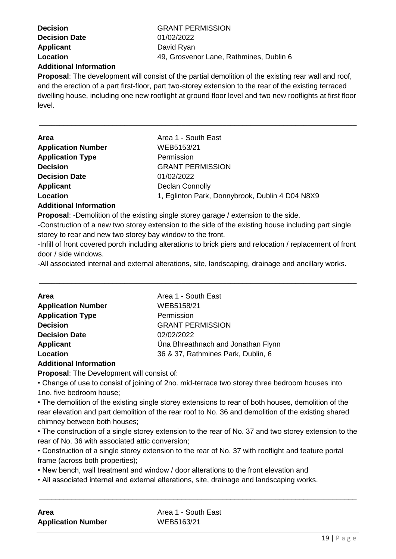| <b>Decision</b>               |
|-------------------------------|
| <b>Decision Date</b>          |
| <b>Applicant</b>              |
| Location                      |
| <b>Additional Information</b> |

**Decision** GRANT PERMISSION **Decision Date** 01/02/2022 **David Ryan Location** 49, Grosvenor Lane, Rathmines, Dublin 6

**Proposal**: The development will consist of the partial demolition of the existing rear wall and roof, and the erection of a part first-floor, part two-storey extension to the rear of the existing terraced dwelling house, including one new rooflight at ground floor level and two new rooflights at first floor level.

\_\_\_\_\_\_\_\_\_\_\_\_\_\_\_\_\_\_\_\_\_\_\_\_\_\_\_\_\_\_\_\_\_\_\_\_\_\_\_\_\_\_\_\_\_\_\_\_\_\_\_\_\_\_\_\_\_\_\_\_\_\_\_\_\_\_\_\_\_\_\_\_\_\_\_\_\_\_

| <b>Area</b>               | Area 1 - South East                             |
|---------------------------|-------------------------------------------------|
| <b>Application Number</b> | WEB5153/21                                      |
| <b>Application Type</b>   | Permission                                      |
| <b>Decision</b>           | <b>GRANT PERMISSION</b>                         |
| <b>Decision Date</b>      | 01/02/2022                                      |
| Applicant                 | Declan Connolly                                 |
| Location                  | 1, Eglinton Park, Donnybrook, Dublin 4 D04 N8X9 |
| Additional Information    |                                                 |

**Additional Information**

**Proposal**: -Demolition of the existing single storey garage / extension to the side.

-Construction of a new two storey extension to the side of the existing house including part single storey to rear and new two storey bay window to the front.

-Infill of front covered porch including alterations to brick piers and relocation / replacement of front door / side windows.

\_\_\_\_\_\_\_\_\_\_\_\_\_\_\_\_\_\_\_\_\_\_\_\_\_\_\_\_\_\_\_\_\_\_\_\_\_\_\_\_\_\_\_\_\_\_\_\_\_\_\_\_\_\_\_\_\_\_\_\_\_\_\_\_\_\_\_\_\_\_\_\_\_\_\_\_\_\_

-All associated internal and external alterations, site, landscaping, drainage and ancillary works.

| <b>Area</b>               | Area 1 - South East                |
|---------------------------|------------------------------------|
| <b>Application Number</b> | WEB5158/21                         |
| <b>Application Type</b>   | Permission                         |
| <b>Decision</b>           | <b>GRANT PERMISSION</b>            |
| <b>Decision Date</b>      | 02/02/2022                         |
| <b>Applicant</b>          | Úna Bhreathnach and Jonathan Flynn |
| Location                  | 36 & 37, Rathmines Park, Dublin, 6 |
|                           |                                    |

#### **Additional Information**

**Proposal**: The Development will consist of:

• Change of use to consist of joining of 2no. mid-terrace two storey three bedroom houses into 1no. five bedroom house;

• The demolition of the existing single storey extensions to rear of both houses, demolition of the rear elevation and part demolition of the rear roof to No. 36 and demolition of the existing shared chimney between both houses;

• The construction of a single storey extension to the rear of No. 37 and two storey extension to the rear of No. 36 with associated attic conversion;

\_\_\_\_\_\_\_\_\_\_\_\_\_\_\_\_\_\_\_\_\_\_\_\_\_\_\_\_\_\_\_\_\_\_\_\_\_\_\_\_\_\_\_\_\_\_\_\_\_\_\_\_\_\_\_\_\_\_\_\_\_\_\_\_\_\_\_\_\_\_\_\_\_\_\_\_\_\_

• Construction of a single storey extension to the rear of No. 37 with rooflight and feature portal frame (across both properties);

• New bench, wall treatment and window / door alterations to the front elevation and

• All associated internal and external alterations, site, drainage and landscaping works.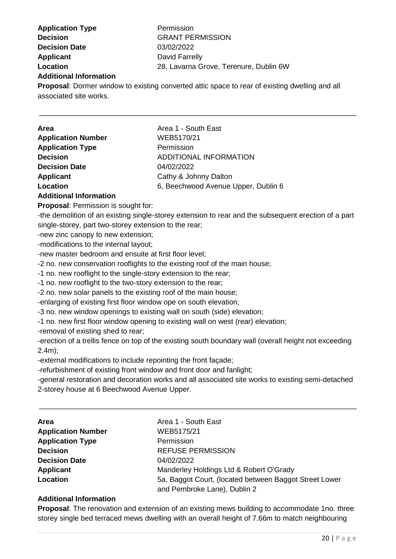**Application Type Permission Decision GRANT PERMISSION Decision Date** 03/02/2022 **Applicant** David Farrelly **Additional Information**

**Location** 28, Lavarna Grove, Terenure, Dublin 6W

**Proposal**: Dormer window to existing converted attic space to rear of existing dwelling and all associated site works.

\_\_\_\_\_\_\_\_\_\_\_\_\_\_\_\_\_\_\_\_\_\_\_\_\_\_\_\_\_\_\_\_\_\_\_\_\_\_\_\_\_\_\_\_\_\_\_\_\_\_\_\_\_\_\_\_\_\_\_\_\_\_\_\_\_\_\_\_\_\_\_\_\_\_\_\_\_\_

| <b>Area</b>               | Area 1 - South East                 |
|---------------------------|-------------------------------------|
| <b>Application Number</b> | WEB5170/21                          |
| <b>Application Type</b>   | Permission                          |
| <b>Decision</b>           | ADDITIONAL INFORMATION              |
| <b>Decision Date</b>      | 04/02/2022                          |
| Applicant                 | Cathy & Johnny Dalton               |
| Location                  | 6, Beechwood Avenue Upper, Dublin 6 |
|                           |                                     |

#### **Additional Information**

**Proposal**: Permission is sought for:

-the demolition of an existing single-storey extension to rear and the subsequent erection of a part single-storey, part two-storey extension to the rear;

-new zinc canopy to new extension;

-modifications to the internal layout;

-new master bedroom and ensuite at first floor level;

-2 no. new conservation rooflights to the existing roof of the main house;

-1 no. new rooflight to the single-story extension to the rear;

-1 no. new rooflight to the two-story extension to the rear;

-2 no. new solar panels to the existing roof of the main house;

-enlarging of existing first floor window ope on south elevation;

-3 no. new window openings to existing wall on south (side) elevation;

-1 no. new first floor window opening to existing wall on west (rear) elevation;

-removal of existing shed to rear;

-erection of a trellis fence on top of the existing south boundary wall (overall height not exceeding 2.4m);

-external modifications to include repointing the front façade;

-refurbishment of existing front window and front door and fanlight;

-general restoration and decoration works and all associated site works to existing semi-detached 2-storey house at 6 Beechwood Avenue Upper.

\_\_\_\_\_\_\_\_\_\_\_\_\_\_\_\_\_\_\_\_\_\_\_\_\_\_\_\_\_\_\_\_\_\_\_\_\_\_\_\_\_\_\_\_\_\_\_\_\_\_\_\_\_\_\_\_\_\_\_\_\_\_\_\_\_\_\_\_\_\_\_\_\_\_\_\_\_\_

| Area                      | Area 1 - South East                                    |
|---------------------------|--------------------------------------------------------|
| <b>Application Number</b> | WEB5175/21                                             |
| <b>Application Type</b>   | Permission                                             |
| <b>Decision</b>           | <b>REFUSE PERMISSION</b>                               |
| <b>Decision Date</b>      | 04/02/2022                                             |
| <b>Applicant</b>          | Manderley Holdings Ltd & Robert O'Grady                |
| Location                  | 5a, Baggot Court, (located between Baggot Street Lower |
|                           | and Pembroke Lane), Dublin 2                           |

#### **Additional Information**

**Proposal**: The renovation and extension of an existing mews building to accommodate 1no. three storey single bed terraced mews dwelling with an overall height of 7.66m to match neighbouring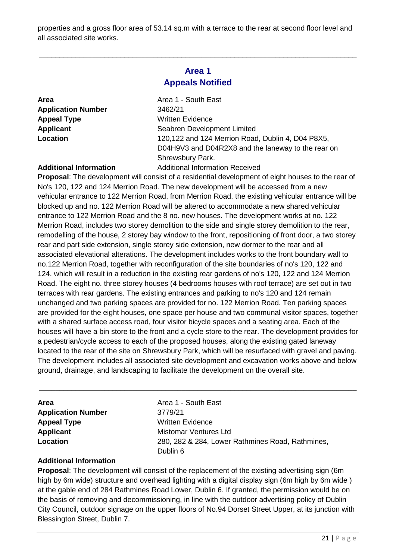properties and a gross floor area of 53.14 sq.m with a terrace to the rear at second floor level and all associated site works.

#### **Area 1 Appeals Notified**

\_\_\_\_\_\_\_\_\_\_\_\_\_\_\_\_\_\_\_\_\_\_\_\_\_\_\_\_\_\_\_\_\_\_\_\_\_\_\_\_\_\_\_\_\_\_\_\_\_\_\_\_\_\_\_\_\_\_\_\_\_\_\_\_\_\_\_\_\_\_\_\_\_\_\_\_\_\_

**Application Number** 3462/21 **Appeal Type** Written Evidence

**Area Area 1 - South East Applicant** Seabren Development Limited **Location** 120,122 and 124 Merrion Road, Dublin 4, D04 P8X5, D04H9V3 and D04R2X8 and the laneway to the rear on Shrewsbury Park.

#### **Additional Information** Additional Information Received

**Proposal**: The development will consist of a residential development of eight houses to the rear of No's 120, 122 and 124 Merrion Road. The new development will be accessed from a new vehicular entrance to 122 Merrion Road, from Merrion Road, the existing vehicular entrance will be blocked up and no. 122 Merrion Road will be altered to accommodate a new shared vehicular entrance to 122 Merrion Road and the 8 no. new houses. The development works at no. 122 Merrion Road, includes two storey demolition to the side and single storey demolition to the rear, remodelling of the house, 2 storey bay window to the front, repositioning of front door, a two storey rear and part side extension, single storey side extension, new dormer to the rear and all associated elevational alterations. The development includes works to the front boundary wall to no.122 Merrion Road, together with reconfiguration of the site boundaries of no's 120, 122 and 124, which will result in a reduction in the existing rear gardens of no's 120, 122 and 124 Merrion Road. The eight no. three storey houses (4 bedrooms houses with roof terrace) are set out in two terraces with rear gardens. The existing entrances and parking to no's 120 and 124 remain unchanged and two parking spaces are provided for no. 122 Merrion Road. Ten parking spaces are provided for the eight houses, one space per house and two communal visitor spaces, together with a shared surface access road, four visitor bicycle spaces and a seating area. Each of the houses will have a bin store to the front and a cycle store to the rear. The development provides for a pedestrian/cycle access to each of the proposed houses, along the existing gated laneway located to the rear of the site on Shrewsbury Park, which will be resurfaced with gravel and paving. The development includes all associated site development and excavation works above and below ground, drainage, and landscaping to facilitate the development on the overall site.

\_\_\_\_\_\_\_\_\_\_\_\_\_\_\_\_\_\_\_\_\_\_\_\_\_\_\_\_\_\_\_\_\_\_\_\_\_\_\_\_\_\_\_\_\_\_\_\_\_\_\_\_\_\_\_\_\_\_\_\_\_\_\_\_\_\_\_\_\_\_\_\_\_\_\_\_\_\_

| <b>Area</b>               | Area 1 - South East                              |
|---------------------------|--------------------------------------------------|
| <b>Application Number</b> | 3779/21                                          |
| <b>Appeal Type</b>        | <b>Written Evidence</b>                          |
| <b>Applicant</b>          | <b>Mistomar Ventures Ltd</b>                     |
| Location                  | 280, 282 & 284, Lower Rathmines Road, Rathmines, |
|                           | Dublin 6                                         |
|                           |                                                  |

#### **Additional Information**

**Proposal**: The development will consist of the replacement of the existing advertising sign (6m high by 6m wide) structure and overhead lighting with a digital display sign (6m high by 6m wide ) at the gable end of 284 Rathmines Road Lower, Dublin 6. If granted, the permission would be on the basis of removing and decommissioning, in line with the outdoor advertising policy of Dublin City Council, outdoor signage on the upper floors of No.94 Dorset Street Upper, at its junction with Blessington Street, Dublin 7.